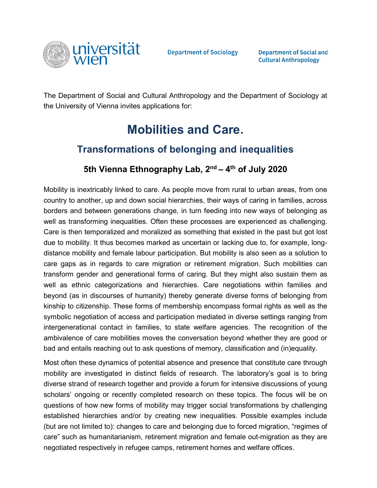

**Department of Sociology** 

**Department of Social and Cultural Anthropology** 

The Department of Social and Cultural Anthropology and the Department of Sociology at the University of Vienna invites applications for:

# **Mobilities and Care.**

## **Transformations of belonging and inequalities**

### **5th Vienna Ethnography Lab, 2nd – 4th of July 2020**

Mobility is inextricably linked to care. As people move from rural to urban areas, from one country to another, up and down social hierarchies, their ways of caring in families, across borders and between generations change, in turn feeding into new ways of belonging as well as transforming inequalities. Often these processes are experienced as challenging. Care is then temporalized and moralized as something that existed in the past but got lost due to mobility. It thus becomes marked as uncertain or lacking due to, for example, longdistance mobility and female labour participation. But mobility is also seen as a solution to care gaps as in regards to care migration or retirement migration. Such mobilities can transform gender and generational forms of caring. But they might also sustain them as well as ethnic categorizations and hierarchies. Care negotiations within families and beyond (as in discourses of humanity) thereby generate diverse forms of belonging from kinship to citizenship. These forms of membership encompass formal rights as well as the symbolic negotiation of access and participation mediated in diverse settings ranging from intergenerational contact in families, to state welfare agencies. The recognition of the ambivalence of care mobilities moves the conversation beyond whether they are good or bad and entails reaching out to ask questions of memory, classification and (in)equality.

Most often these dynamics of potential absence and presence that constitute care through mobility are investigated in distinct fields of research. The laboratory's goal is to bring diverse strand of research together and provide a forum for intensive discussions of young scholars' ongoing or recently completed research on these topics. The focus will be on questions of how new forms of mobility may trigger social transformations by challenging established hierarchies and/or by creating new inequalities. Possible examples include (but are not limited to): changes to care and belonging due to forced migration, "regimes of care" such as humanitarianism, retirement migration and female out-migration as they are negotiated respectively in refugee camps, retirement homes and welfare offices.